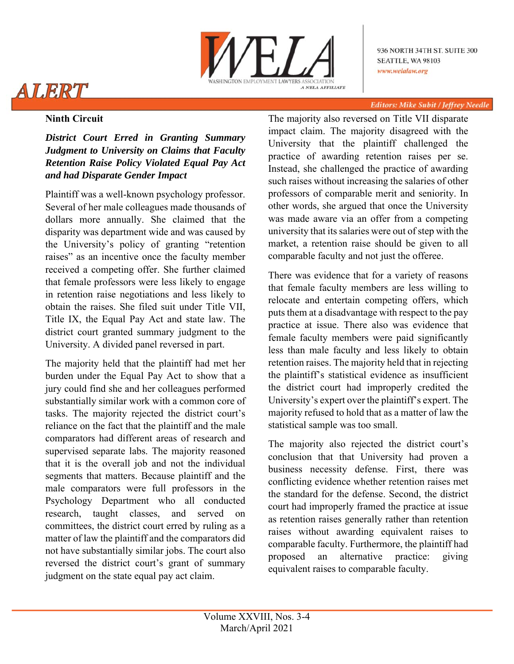

936 NORTH 34TH ST. SUITE 300 **SEATTLE, WA 98103** www.welalaw.org

# ALERT

#### **Editors: Mike Subit / Jeffrey Needle**

### **Ninth Circuit**

*District Court Erred in Granting Summary Judgment to University on Claims that Faculty Retention Raise Policy Violated Equal Pay Act and had Disparate Gender Impact* 

Plaintiff was a well-known psychology professor. Several of her male colleagues made thousands of dollars more annually. She claimed that the disparity was department wide and was caused by the University's policy of granting "retention raises" as an incentive once the faculty member received a competing offer. She further claimed that female professors were less likely to engage in retention raise negotiations and less likely to obtain the raises. She filed suit under Title VII, Title IX, the Equal Pay Act and state law. The district court granted summary judgment to the University. A divided panel reversed in part.

The majority held that the plaintiff had met her burden under the Equal Pay Act to show that a jury could find she and her colleagues performed substantially similar work with a common core of tasks. The majority rejected the district court's reliance on the fact that the plaintiff and the male comparators had different areas of research and supervised separate labs. The majority reasoned that it is the overall job and not the individual segments that matters. Because plaintiff and the male comparators were full professors in the Psychology Department who all conducted research, taught classes, and served on committees, the district court erred by ruling as a matter of law the plaintiff and the comparators did not have substantially similar jobs. The court also reversed the district court's grant of summary judgment on the state equal pay act claim.

The majority also reversed on Title VII disparate impact claim. The majority disagreed with the University that the plaintiff challenged the practice of awarding retention raises per se. Instead, she challenged the practice of awarding such raises without increasing the salaries of other professors of comparable merit and seniority. In other words, she argued that once the University was made aware via an offer from a competing university that its salaries were out of step with the market, a retention raise should be given to all comparable faculty and not just the offeree.

There was evidence that for a variety of reasons that female faculty members are less willing to relocate and entertain competing offers, which puts them at a disadvantage with respect to the pay practice at issue. There also was evidence that female faculty members were paid significantly less than male faculty and less likely to obtain retention raises. The majority held that in rejecting the plaintiff's statistical evidence as insufficient the district court had improperly credited the University's expert over the plaintiff's expert. The majority refused to hold that as a matter of law the statistical sample was too small.

The majority also rejected the district court's conclusion that that University had proven a business necessity defense. First, there was conflicting evidence whether retention raises met the standard for the defense. Second, the district court had improperly framed the practice at issue as retention raises generally rather than retention raises without awarding equivalent raises to comparable faculty. Furthermore, the plaintiff had proposed an alternative practice: giving equivalent raises to comparable faculty.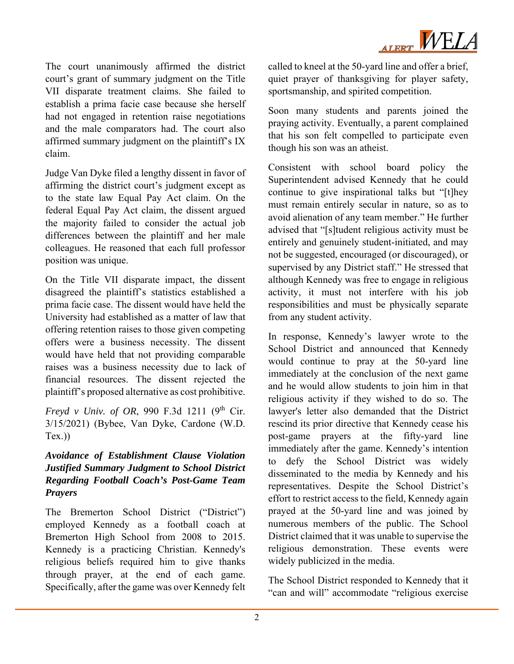

The court unanimously affirmed the district court's grant of summary judgment on the Title VII disparate treatment claims. She failed to establish a prima facie case because she herself had not engaged in retention raise negotiations and the male comparators had. The court also affirmed summary judgment on the plaintiff's IX claim.

Judge Van Dyke filed a lengthy dissent in favor of affirming the district court's judgment except as to the state law Equal Pay Act claim. On the federal Equal Pay Act claim, the dissent argued the majority failed to consider the actual job differences between the plaintiff and her male colleagues. He reasoned that each full professor position was unique.

On the Title VII disparate impact, the dissent disagreed the plaintiff's statistics established a prima facie case. The dissent would have held the University had established as a matter of law that offering retention raises to those given competing offers were a business necessity. The dissent would have held that not providing comparable raises was a business necessity due to lack of financial resources. The dissent rejected the plaintiff's proposed alternative as cost prohibitive.

*Freyd v Univ. of OR*, 990 F.3d 1211 (9<sup>th</sup> Cir. 3/15/2021) (Bybee, Van Dyke, Cardone (W.D.  $Tex.)$ 

#### *Avoidance of Establishment Clause Violation Justified Summary Judgment to School District Regarding Football Coach's Post-Game Team Prayers*

The Bremerton School District ("District") employed Kennedy as a football coach at Bremerton High School from 2008 to 2015. Kennedy is a practicing Christian. Kennedy's religious beliefs required him to give thanks through prayer, at the end of each game. Specifically, after the game was over Kennedy felt

called to kneel at the 50-yard line and offer a brief, quiet prayer of thanksgiving for player safety, sportsmanship, and spirited competition.

Soon many students and parents joined the praying activity. Eventually, a parent complained that his son felt compelled to participate even though his son was an atheist.

Consistent with school board policy the Superintendent advised Kennedy that he could continue to give inspirational talks but "[t]hey must remain entirely secular in nature, so as to avoid alienation of any team member." He further advised that "[s]tudent religious activity must be entirely and genuinely student-initiated, and may not be suggested, encouraged (or discouraged), or supervised by any District staff." He stressed that although Kennedy was free to engage in religious activity, it must not interfere with his job responsibilities and must be physically separate from any student activity.

In response, Kennedy's lawyer wrote to the School District and announced that Kennedy would continue to pray at the 50-yard line immediately at the conclusion of the next game and he would allow students to join him in that religious activity if they wished to do so. The lawyer's letter also demanded that the District rescind its prior directive that Kennedy cease his post-game prayers at the fifty-yard line immediately after the game. Kennedy's intention to defy the School District was widely disseminated to the media by Kennedy and his representatives. Despite the School District's effort to restrict access to the field, Kennedy again prayed at the 50-yard line and was joined by numerous members of the public. The School District claimed that it was unable to supervise the religious demonstration. These events were widely publicized in the media.

The School District responded to Kennedy that it "can and will" accommodate "religious exercise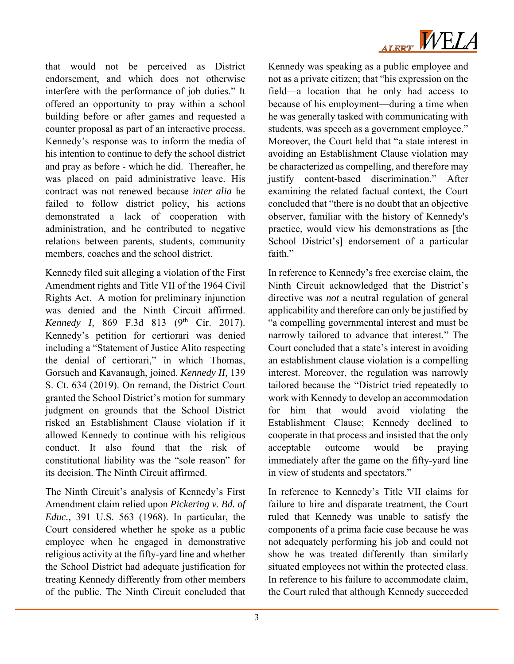

that would not be perceived as District endorsement, and which does not otherwise interfere with the performance of job duties." It offered an opportunity to pray within a school building before or after games and requested a counter proposal as part of an interactive process. Kennedy's response was to inform the media of his intention to continue to defy the school district and pray as before - which he did. Thereafter, he was placed on paid administrative leave. His contract was not renewed because *inter alia* he failed to follow district policy, his actions demonstrated a lack of cooperation with administration, and he contributed to negative relations between parents, students, community members, coaches and the school district.

Kennedy filed suit alleging a violation of the First Amendment rights and Title VII of the 1964 Civil Rights Act. A motion for preliminary injunction was denied and the Ninth Circuit affirmed. *Kennedy I, 869 F.3d 813 (9<sup>th</sup> Cir. 2017).* Kennedy's petition for certiorari was denied including a "Statement of Justice Alito respecting the denial of certiorari," in which Thomas, Gorsuch and Kavanaugh, joined. *Kennedy II,* 139 S. Ct. 634 (2019). On remand, the District Court granted the School District's motion for summary judgment on grounds that the School District risked an Establishment Clause violation if it allowed Kennedy to continue with his religious conduct. It also found that the risk of constitutional liability was the "sole reason" for its decision. The Ninth Circuit affirmed.

The Ninth Circuit's analysis of Kennedy's First Amendment claim relied upon *Pickering v. Bd. of Educ.,* 391 U.S. 563 (1968). In particular, the Court considered whether he spoke as a public employee when he engaged in demonstrative religious activity at the fifty-yard line and whether the School District had adequate justification for treating Kennedy differently from other members of the public. The Ninth Circuit concluded that

Kennedy was speaking as a public employee and not as a private citizen; that "his expression on the field—a location that he only had access to because of his employment—during a time when he was generally tasked with communicating with students, was speech as a government employee." Moreover, the Court held that "a state interest in avoiding an Establishment Clause violation may be characterized as compelling, and therefore may justify content-based discrimination." After examining the related factual context, the Court concluded that "there is no doubt that an objective observer, familiar with the history of Kennedy's practice, would view his demonstrations as [the School District's] endorsement of a particular faith."

In reference to Kennedy's free exercise claim, the Ninth Circuit acknowledged that the District's directive was *not* a neutral regulation of general applicability and therefore can only be justified by "a compelling governmental interest and must be narrowly tailored to advance that interest." The Court concluded that a state's interest in avoiding an establishment clause violation is a compelling interest. Moreover, the regulation was narrowly tailored because the "District tried repeatedly to work with Kennedy to develop an accommodation for him that would avoid violating the Establishment Clause; Kennedy declined to cooperate in that process and insisted that the only acceptable outcome would be praying immediately after the game on the fifty-yard line in view of students and spectators."

In reference to Kennedy's Title VII claims for failure to hire and disparate treatment, the Court ruled that Kennedy was unable to satisfy the components of a prima facie case because he was not adequately performing his job and could not show he was treated differently than similarly situated employees not within the protected class. In reference to his failure to accommodate claim, the Court ruled that although Kennedy succeeded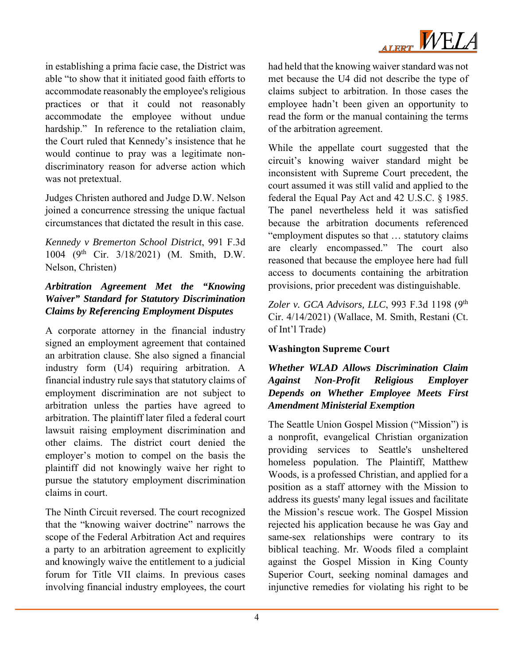

in establishing a prima facie case, the District was able "to show that it initiated good faith efforts to accommodate reasonably the employee's religious practices or that it could not reasonably accommodate the employee without undue hardship." In reference to the retaliation claim, the Court ruled that Kennedy's insistence that he would continue to pray was a legitimate nondiscriminatory reason for adverse action which was not pretextual.

Judges Christen authored and Judge D.W. Nelson joined a concurrence stressing the unique factual circumstances that dictated the result in this case.

*Kennedy v Bremerton School District*, 991 F.3d 1004 (9th Cir. 3/18/2021) (M. Smith, D.W. Nelson, Christen)

### *Arbitration Agreement Met the "Knowing Waiver" Standard for Statutory Discrimination Claims by Referencing Employment Disputes*

A corporate attorney in the financial industry signed an employment agreement that contained an arbitration clause. She also signed a financial industry form (U4) requiring arbitration. A financial industry rule says that statutory claims of employment discrimination are not subject to arbitration unless the parties have agreed to arbitration. The plaintiff later filed a federal court lawsuit raising employment discrimination and other claims. The district court denied the employer's motion to compel on the basis the plaintiff did not knowingly waive her right to pursue the statutory employment discrimination claims in court.

The Ninth Circuit reversed. The court recognized that the "knowing waiver doctrine" narrows the scope of the Federal Arbitration Act and requires a party to an arbitration agreement to explicitly and knowingly waive the entitlement to a judicial forum for Title VII claims. In previous cases involving financial industry employees, the court had held that the knowing waiver standard was not met because the U4 did not describe the type of claims subject to arbitration. In those cases the employee hadn't been given an opportunity to read the form or the manual containing the terms of the arbitration agreement.

While the appellate court suggested that the circuit's knowing waiver standard might be inconsistent with Supreme Court precedent, the court assumed it was still valid and applied to the federal the Equal Pay Act and 42 U.S.C. § 1985. The panel nevertheless held it was satisfied because the arbitration documents referenced "employment disputes so that … statutory claims are clearly encompassed." The court also reasoned that because the employee here had full access to documents containing the arbitration provisions, prior precedent was distinguishable.

*Zoler v. GCA Advisors, LLC*, 993 F.3d 1198 (9th Cir. 4/14/2021) (Wallace, M. Smith, Restani (Ct. of Int'l Trade)

## **Washington Supreme Court**

### *Whether WLAD Allows Discrimination Claim Against Non-Profit Religious Employer Depends on Whether Employee Meets First Amendment Ministerial Exemption*

The Seattle Union Gospel Mission ("Mission") is a nonprofit, evangelical Christian organization providing services to Seattle's unsheltered homeless population. The Plaintiff, Matthew Woods, is a professed Christian, and applied for a position as a staff attorney with the Mission to address its guests' many legal issues and facilitate the Mission's rescue work. The Gospel Mission rejected his application because he was Gay and same-sex relationships were contrary to its biblical teaching. Mr. Woods filed a complaint against the Gospel Mission in King County Superior Court, seeking nominal damages and injunctive remedies for violating his right to be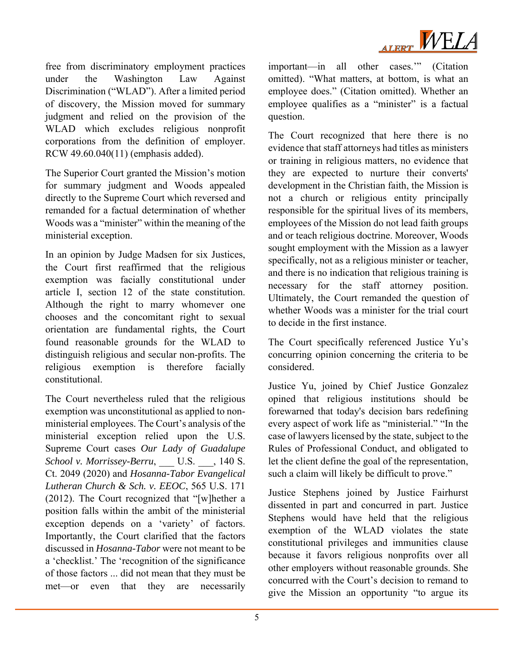

free from discriminatory employment practices under the Washington Law Against Discrimination ("WLAD"). After a limited period of discovery, the Mission moved for summary judgment and relied on the provision of the WLAD which excludes religious nonprofit corporations from the definition of employer. RCW 49.60.040(11) (emphasis added).

The Superior Court granted the Mission's motion for summary judgment and Woods appealed directly to the Supreme Court which reversed and remanded for a factual determination of whether Woods was a "minister" within the meaning of the ministerial exception.

In an opinion by Judge Madsen for six Justices, the Court first reaffirmed that the religious exemption was facially constitutional under article I, section 12 of the state constitution. Although the right to marry whomever one chooses and the concomitant right to sexual orientation are fundamental rights, the Court found reasonable grounds for the WLAD to distinguish religious and secular non-profits. The religious exemption is therefore facially constitutional.

The Court nevertheless ruled that the religious exemption was unconstitutional as applied to nonministerial employees. The Court's analysis of the ministerial exception relied upon the U.S. Supreme Court cases *Our Lady of Guadalupe School v. Morrissey-Berru,* U.S. , 140 S. Ct. 2049 (2020) and *Hosanna-Tabor Evangelical Lutheran Church & Sch. v. EEOC*, 565 U.S. 171 (2012). The Court recognized that "[w]hether a position falls within the ambit of the ministerial exception depends on a 'variety' of factors. Importantly, the Court clarified that the factors discussed in *Hosanna-Tabor* were not meant to be a 'checklist.' The 'recognition of the significance of those factors ... did not mean that they must be met—or even that they are necessarily important—in all other cases.'" (Citation omitted). "What matters, at bottom, is what an employee does." (Citation omitted). Whether an employee qualifies as a "minister" is a factual question.

The Court recognized that here there is no evidence that staff attorneys had titles as ministers or training in religious matters, no evidence that they are expected to nurture their converts' development in the Christian faith, the Mission is not a church or religious entity principally responsible for the spiritual lives of its members, employees of the Mission do not lead faith groups and or teach religious doctrine. Moreover, Woods sought employment with the Mission as a lawyer specifically, not as a religious minister or teacher, and there is no indication that religious training is necessary for the staff attorney position. Ultimately, the Court remanded the question of whether Woods was a minister for the trial court to decide in the first instance.

The Court specifically referenced Justice Yu's concurring opinion concerning the criteria to be considered.

Justice Yu, joined by Chief Justice Gonzalez opined that religious institutions should be forewarned that today's decision bars redefining every aspect of work life as "ministerial." "In the case of lawyers licensed by the state, subject to the Rules of Professional Conduct, and obligated to let the client define the goal of the representation, such a claim will likely be difficult to prove."

Justice Stephens joined by Justice Fairhurst dissented in part and concurred in part. Justice Stephens would have held that the religious exemption of the WLAD violates the state constitutional privileges and immunities clause because it favors religious nonprofits over all other employers without reasonable grounds. She concurred with the Court's decision to remand to give the Mission an opportunity "to argue its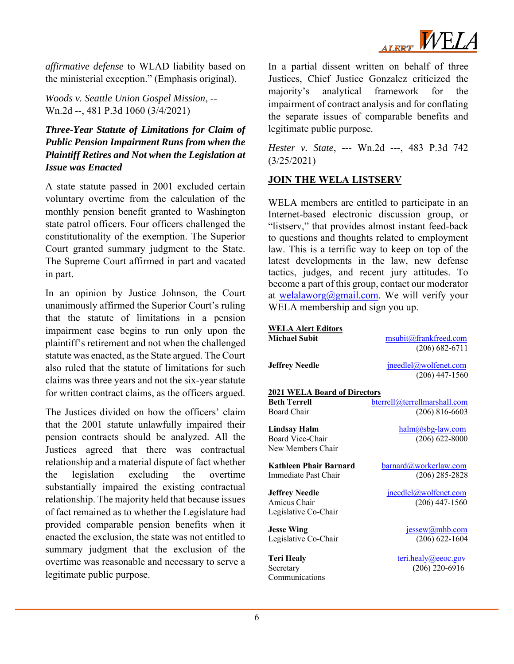

*affirmative defense* to WLAD liability based on the ministerial exception." (Emphasis original).

*Woods v. Seattle Union Gospel Mission*, -- Wn.2d --, 481 P.3d 1060 (3/4/2021)

#### *Three-Year Statute of Limitations for Claim of Public Pension Impairment Runs from when the Plaintiff Retires and Not when the Legislation at Issue was Enacted*

A state statute passed in 2001 excluded certain voluntary overtime from the calculation of the monthly pension benefit granted to Washington state patrol officers. Four officers challenged the constitutionality of the exemption. The Superior Court granted summary judgment to the State. The Supreme Court affirmed in part and vacated in part.

In an opinion by Justice Johnson, the Court unanimously affirmed the Superior Court's ruling that the statute of limitations in a pension impairment case begins to run only upon the plaintiff's retirement and not when the challenged statute was enacted, as the State argued. The Court also ruled that the statute of limitations for such claims was three years and not the six-year statute for written contract claims, as the officers argued.

The Justices divided on how the officers' claim that the 2001 statute unlawfully impaired their pension contracts should be analyzed. All the Justices agreed that there was contractual relationship and a material dispute of fact whether the legislation excluding the overtime substantially impaired the existing contractual relationship. The majority held that because issues of fact remained as to whether the Legislature had provided comparable pension benefits when it enacted the exclusion, the state was not entitled to summary judgment that the exclusion of the overtime was reasonable and necessary to serve a legitimate public purpose.

In a partial dissent written on behalf of three Justices, Chief Justice Gonzalez criticized the majority's analytical framework for the impairment of contract analysis and for conflating the separate issues of comparable benefits and legitimate public purpose.

*Hester v. State*, --- Wn.2d ---, 483 P.3d 742 (3/25/2021)

#### **JOIN THE WELA LISTSERV**

WELA members are entitled to participate in an Internet-based electronic discussion group, or "listserv," that provides almost instant feed-back to questions and thoughts related to employment law. This is a terrific way to keep on top of the latest developments in the law, new defense tactics, judges, and recent jury attitudes. To become a part of this group, contact our moderator at welalaworg@gmail.com. We will verify your WELA membership and sign you up.

| <b>WELA Alert Editors</b>           |                              |
|-------------------------------------|------------------------------|
| <b>Michael Subit</b>                | msubit@frankfreed.com        |
|                                     | $(206) 682 - 6711$           |
|                                     |                              |
| <b>Jeffrey Needle</b>               | $i$ needlel@wolfenet.com     |
|                                     | $(206)$ 447-1560             |
| <b>2021 WELA Board of Directors</b> |                              |
| <b>Beth Terrell</b>                 | bterrell@terrellmarshall.com |
| Board Chair                         | $(206)$ 816-6603             |
|                                     |                              |
| Lindsay Halm                        | halm@sbg-law.com             |
| Board Vice-Chair                    | $(206) 622 - 8000$           |
| New Members Chair                   |                              |
| Kathleen Phair Barnard              | barnard@workerlaw.com        |
| Immediate Past Chair                | $(206)$ 285-2828             |
|                                     |                              |
| <b>Jeffrey Needle</b>               | <u>ineedlel@wolfenet.com</u> |
| Amicus Chair                        | $(206)$ 447-1560             |
| Legislative Co-Chair                |                              |
| <b>Jesse Wing</b>                   | jessew@mhb.com               |
| Legislative Co-Chair                | $(206) 622 - 1604$           |
|                                     |                              |
| <b>Teri Healy</b>                   | teri.healy@eeoc.gov          |
| Secretary                           | $(206)$ 220-6916             |
| Communications                      |                              |